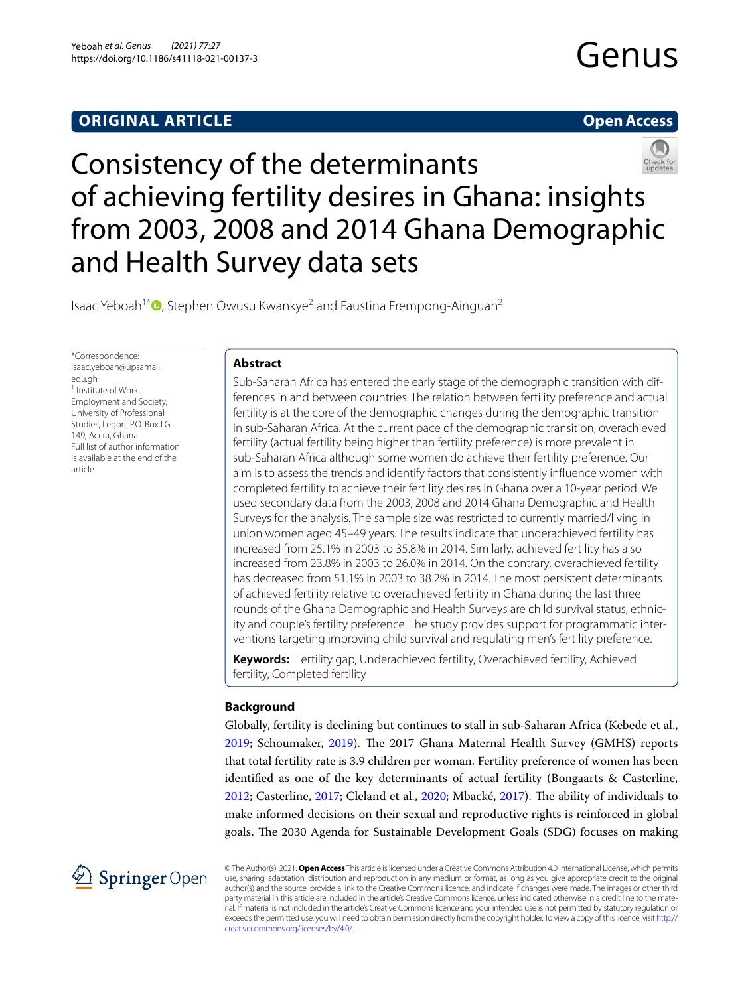# **ORIGINAL ARTICLE**

# **Open Access**



Consistency of the determinants of achieving fertility desires in Ghana: insights from 2003, 2008 and 2014 Ghana Demographic and Health Survey data sets

Isaac Yeboah<sup>1[\\*](http://orcid.org/0000-0001-6795-4405)</sup>  $\bullet$ , Stephen Owusu Kwankye<sup>2</sup> and Faustina Frempong-Ainguah<sup>2</sup>

\*Correspondence: isaac.yeboah@upsamail. edu.gh <sup>1</sup> Institute of Work, Employment and Society, University of Professional Studies, Legon, P.O. Box LG 149, Accra, Ghana Full list of author information is available at the end of the article

# **Abstract**

Sub-Saharan Africa has entered the early stage of the demographic transition with differences in and between countries. The relation between fertility preference and actual fertility is at the core of the demographic changes during the demographic transition in sub-Saharan Africa. At the current pace of the demographic transition, overachieved fertility (actual fertility being higher than fertility preference) is more prevalent in sub-Saharan Africa although some women do achieve their fertility preference. Our aim is to assess the trends and identify factors that consistently infuence women with completed fertility to achieve their fertility desires in Ghana over a 10-year period. We used secondary data from the 2003, 2008 and 2014 Ghana Demographic and Health Surveys for the analysis. The sample size was restricted to currently married/living in union women aged 45–49 years. The results indicate that underachieved fertility has increased from 25.1% in 2003 to 35.8% in 2014. Similarly, achieved fertility has also increased from 23.8% in 2003 to 26.0% in 2014. On the contrary, overachieved fertility has decreased from 51.1% in 2003 to 38.2% in 2014. The most persistent determinants of achieved fertility relative to overachieved fertility in Ghana during the last three rounds of the Ghana Demographic and Health Surveys are child survival status, ethnicity and couple's fertility preference. The study provides support for programmatic interventions targeting improving child survival and regulating men's fertility preference.

**Keywords:** Fertility gap, Underachieved fertility, Overachieved fertility, Achieved fertility, Completed fertility

# **Background**

Globally, fertility is declining but continues to stall in sub-Saharan Africa (Kebede et al., [2019](#page-15-0); Schoumaker, [2019\)](#page-16-0). The 2017 Ghana Maternal Health Survey (GMHS) reports that total fertility rate is 3.9 children per woman. Fertility preference of women has been identifed as one of the key determinants of actual fertility (Bongaarts & Casterline, [2012](#page-14-0); Casterline, [2017;](#page-15-1) Cleland et al., [2020](#page-15-2); Mbacké, [2017\)](#page-15-3). Te ability of individuals to make informed decisions on their sexual and reproductive rights is reinforced in global goals. The 2030 Agenda for Sustainable Development Goals (SDG) focuses on making



© The Author(s), 2021. **Open Access** This article is licensed under a Creative Commons Attribution 4.0 International License, which permits use, sharing, adaptation, distribution and reproduction in any medium or format, as long as you give appropriate credit to the original author(s) and the source, provide a link to the Creative Commons licence, and indicate if changes were made. The images or other third party material in this article are included in the article's Creative Commons licence, unless indicated otherwise in a credit line to the material. If material is not included in the article's Creative Commons licence and your intended use is not permitted by statutory regulation or exceeds the permitted use, you will need to obtain permission directly from the copyright holder. To view a copy of this licence, visit [http://](http://creativecommons.org/licenses/by/4.0/) [creativecommons.org/licenses/by/4.0/.](http://creativecommons.org/licenses/by/4.0/)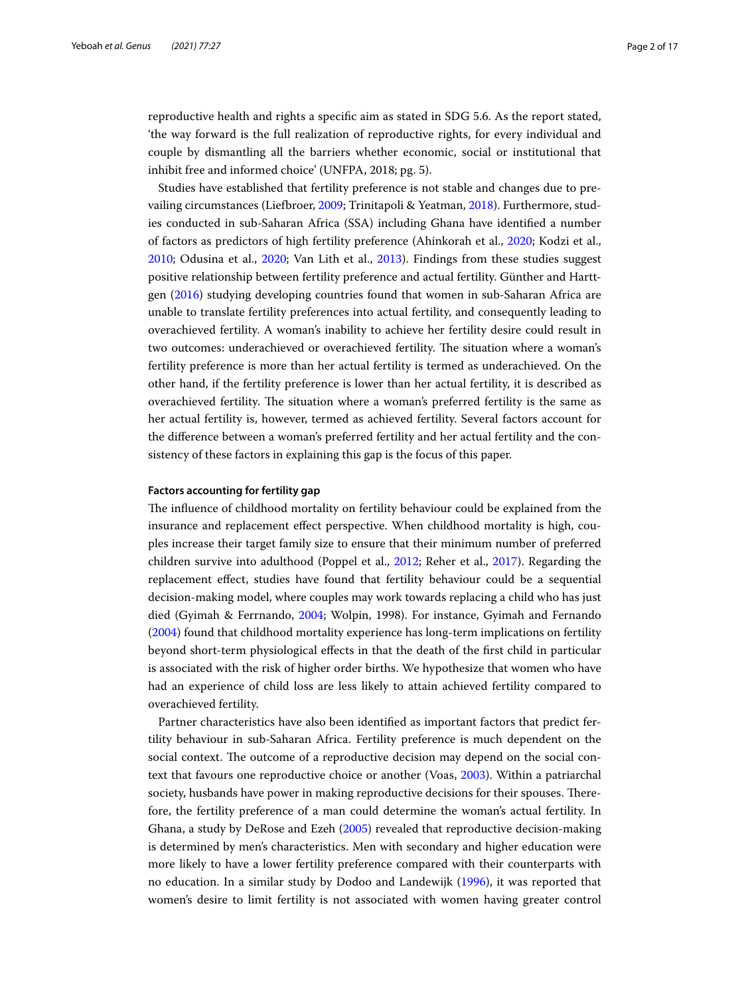reproductive health and rights a specifc aim as stated in SDG 5.6. As the report stated, 'the way forward is the full realization of reproductive rights, for every individual and couple by dismantling all the barriers whether economic, social or institutional that inhibit free and informed choice' (UNFPA, 2018; pg. 5).

Studies have established that fertility preference is not stable and changes due to prevailing circumstances (Liefbroer, [2009](#page-15-4); Trinitapoli & Yeatman, [2018\)](#page-16-1). Furthermore, studies conducted in sub-Saharan Africa (SSA) including Ghana have identifed a number of factors as predictors of high fertility preference (Ahinkorah et al., [2020;](#page-14-1) Kodzi et al., [2010](#page-15-5); Odusina et al., [2020](#page-16-2); Van Lith et al., [2013](#page-16-3)). Findings from these studies suggest positive relationship between fertility preference and actual fertility. Günther and Harttgen ([2016](#page-15-6)) studying developing countries found that women in sub-Saharan Africa are unable to translate fertility preferences into actual fertility, and consequently leading to overachieved fertility. A woman's inability to achieve her fertility desire could result in two outcomes: underachieved or overachieved fertility. The situation where a woman's fertility preference is more than her actual fertility is termed as underachieved. On the other hand, if the fertility preference is lower than her actual fertility, it is described as overachieved fertility. The situation where a woman's preferred fertility is the same as her actual fertility is, however, termed as achieved fertility. Several factors account for the diference between a woman's preferred fertility and her actual fertility and the consistency of these factors in explaining this gap is the focus of this paper.

### **Factors accounting for fertility gap**

The influence of childhood mortality on fertility behaviour could be explained from the insurance and replacement efect perspective. When childhood mortality is high, couples increase their target family size to ensure that their minimum number of preferred children survive into adulthood (Poppel et al., [2012;](#page-16-4) Reher et al., [2017](#page-16-5)). Regarding the replacement efect, studies have found that fertility behaviour could be a sequential decision-making model, where couples may work towards replacing a child who has just died (Gyimah & Ferrnando, [2004;](#page-15-7) Wolpin, 1998). For instance, Gyimah and Fernando ([2004\)](#page-15-7) found that childhood mortality experience has long-term implications on fertility beyond short-term physiological efects in that the death of the frst child in particular is associated with the risk of higher order births. We hypothesize that women who have had an experience of child loss are less likely to attain achieved fertility compared to overachieved fertility.

Partner characteristics have also been identifed as important factors that predict fertility behaviour in sub-Saharan Africa. Fertility preference is much dependent on the social context. The outcome of a reproductive decision may depend on the social context that favours one reproductive choice or another (Voas, [2003\)](#page-16-6). Within a patriarchal society, husbands have power in making reproductive decisions for their spouses. Therefore, the fertility preference of a man could determine the woman's actual fertility. In Ghana, a study by DeRose and Ezeh [\(2005](#page-15-8)) revealed that reproductive decision-making is determined by men's characteristics. Men with secondary and higher education were more likely to have a lower fertility preference compared with their counterparts with no education. In a similar study by Dodoo and Landewijk [\(1996\)](#page-15-9), it was reported that women's desire to limit fertility is not associated with women having greater control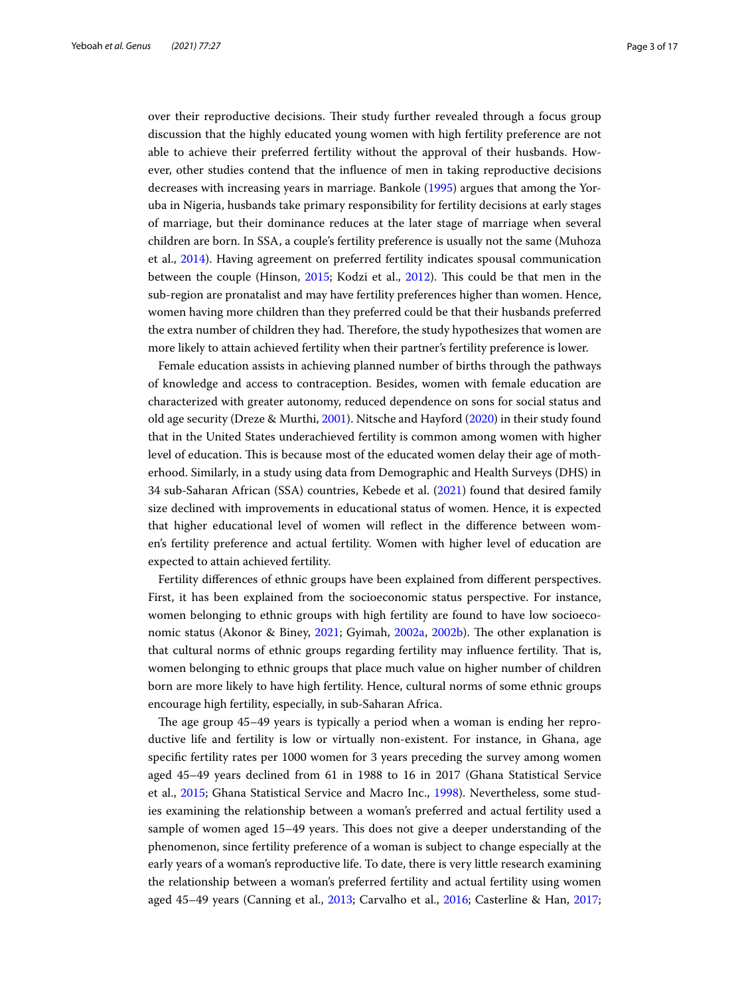over their reproductive decisions. Their study further revealed through a focus group discussion that the highly educated young women with high fertility preference are not able to achieve their preferred fertility without the approval of their husbands. However, other studies contend that the infuence of men in taking reproductive decisions decreases with increasing years in marriage. Bankole [\(1995\)](#page-14-2) argues that among the Yoruba in Nigeria, husbands take primary responsibility for fertility decisions at early stages of marriage, but their dominance reduces at the later stage of marriage when several children are born. In SSA, a couple's fertility preference is usually not the same (Muhoza et al., [2014](#page-15-10)). Having agreement on preferred fertility indicates spousal communication between the couple (Hinson, [2015;](#page-15-11) Kodzi et al., [2012\)](#page-15-12). Tis could be that men in the sub-region are pronatalist and may have fertility preferences higher than women. Hence, women having more children than they preferred could be that their husbands preferred the extra number of children they had. Therefore, the study hypothesizes that women are more likely to attain achieved fertility when their partner's fertility preference is lower.

Female education assists in achieving planned number of births through the pathways of knowledge and access to contraception. Besides, women with female education are characterized with greater autonomy, reduced dependence on sons for social status and old age security (Dreze & Murthi, [2001](#page-15-13)). Nitsche and Hayford ([2020](#page-16-7)) in their study found that in the United States underachieved fertility is common among women with higher level of education. Tis is because most of the educated women delay their age of motherhood. Similarly, in a study using data from Demographic and Health Surveys (DHS) in 34 sub-Saharan African (SSA) countries, Kebede et al. [\(2021](#page-15-14)) found that desired family size declined with improvements in educational status of women. Hence, it is expected that higher educational level of women will refect in the diference between women's fertility preference and actual fertility. Women with higher level of education are expected to attain achieved fertility.

Fertility diferences of ethnic groups have been explained from diferent perspectives. First, it has been explained from the socioeconomic status perspective. For instance, women belonging to ethnic groups with high fertility are found to have low socioeco-nomic status (Akonor & Biney, [2021;](#page-14-3) Gyimah, [2002a,](#page-15-15) [2002b\)](#page-15-16). The other explanation is that cultural norms of ethnic groups regarding fertility may influence fertility. That is, women belonging to ethnic groups that place much value on higher number of children born are more likely to have high fertility. Hence, cultural norms of some ethnic groups encourage high fertility, especially, in sub-Saharan Africa.

The age group 45–49 years is typically a period when a woman is ending her reproductive life and fertility is low or virtually non-existent. For instance, in Ghana, age specifc fertility rates per 1000 women for 3 years preceding the survey among women aged 45–49 years declined from 61 in 1988 to 16 in 2017 (Ghana Statistical Service et al., [2015](#page-15-17); Ghana Statistical Service and Macro Inc., [1998](#page-15-18)). Nevertheless, some studies examining the relationship between a woman's preferred and actual fertility used a sample of women aged 15–49 years. This does not give a deeper understanding of the phenomenon, since fertility preference of a woman is subject to change especially at the early years of a woman's reproductive life. To date, there is very little research examining the relationship between a woman's preferred fertility and actual fertility using women aged 45–49 years (Canning et al., [2013](#page-14-4); Carvalho et al., [2016;](#page-15-19) Casterline & Han, [2017](#page-15-20);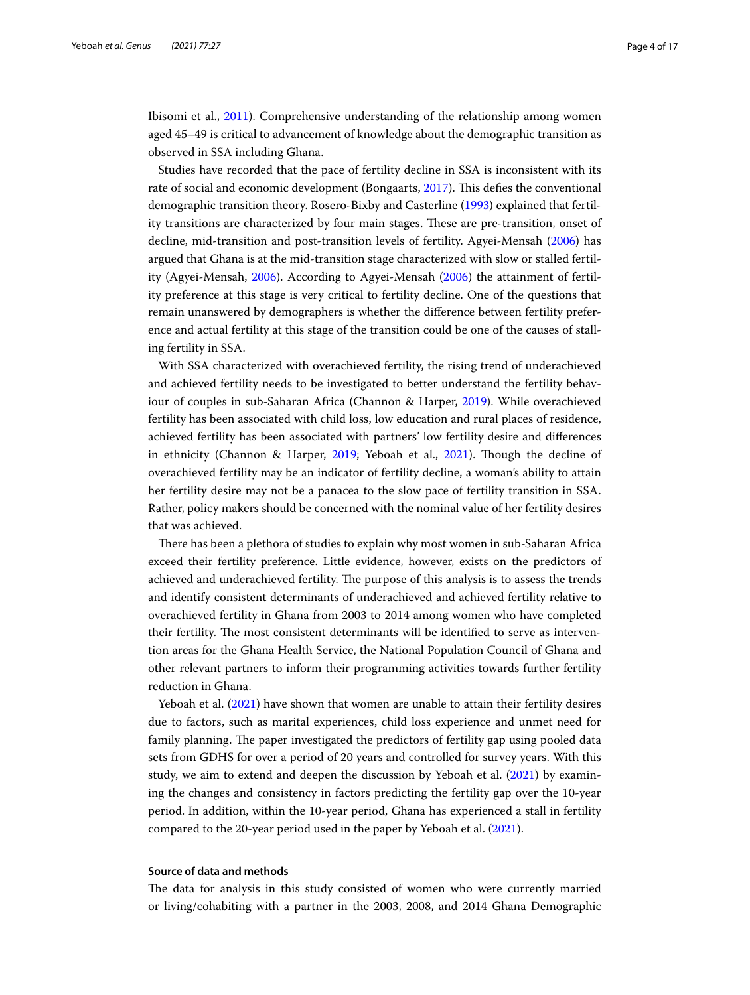Ibisomi et al., [2011\)](#page-15-21). Comprehensive understanding of the relationship among women aged 45–49 is critical to advancement of knowledge about the demographic transition as observed in SSA including Ghana.

Studies have recorded that the pace of fertility decline in SSA is inconsistent with its rate of social and economic development (Bongaarts, [2017](#page-14-5)). Tis defes the conventional demographic transition theory. Rosero-Bixby and Casterline [\(1993\)](#page-16-8) explained that fertility transitions are characterized by four main stages. These are pre-transition, onset of decline, mid-transition and post-transition levels of fertility. Agyei-Mensah ([2006](#page-14-6)) has argued that Ghana is at the mid-transition stage characterized with slow or stalled fertility (Agyei-Mensah, [2006\)](#page-14-6). According to Agyei-Mensah [\(2006\)](#page-14-6) the attainment of fertility preference at this stage is very critical to fertility decline. One of the questions that remain unanswered by demographers is whether the diference between fertility preference and actual fertility at this stage of the transition could be one of the causes of stalling fertility in SSA.

With SSA characterized with overachieved fertility, the rising trend of underachieved and achieved fertility needs to be investigated to better understand the fertility behaviour of couples in sub-Saharan Africa (Channon & Harper, [2019\)](#page-15-22). While overachieved fertility has been associated with child loss, low education and rural places of residence, achieved fertility has been associated with partners' low fertility desire and diferences in ethnicity (Channon & Harper, [2019](#page-15-22); Yeboah et al., [2021](#page-16-9)). Tough the decline of overachieved fertility may be an indicator of fertility decline, a woman's ability to attain her fertility desire may not be a panacea to the slow pace of fertility transition in SSA. Rather, policy makers should be concerned with the nominal value of her fertility desires that was achieved.

There has been a plethora of studies to explain why most women in sub-Saharan Africa exceed their fertility preference. Little evidence, however, exists on the predictors of achieved and underachieved fertility. The purpose of this analysis is to assess the trends and identify consistent determinants of underachieved and achieved fertility relative to overachieved fertility in Ghana from 2003 to 2014 among women who have completed their fertility. The most consistent determinants will be identified to serve as intervention areas for the Ghana Health Service, the National Population Council of Ghana and other relevant partners to inform their programming activities towards further fertility reduction in Ghana.

Yeboah et al. ([2021\)](#page-16-9) have shown that women are unable to attain their fertility desires due to factors, such as marital experiences, child loss experience and unmet need for family planning. The paper investigated the predictors of fertility gap using pooled data sets from GDHS for over a period of 20 years and controlled for survey years. With this study, we aim to extend and deepen the discussion by Yeboah et al. [\(2021\)](#page-16-9) by examining the changes and consistency in factors predicting the fertility gap over the 10-year period. In addition, within the 10-year period, Ghana has experienced a stall in fertility compared to the 20-year period used in the paper by Yeboah et al. ([2021\)](#page-16-9).

## **Source of data and methods**

The data for analysis in this study consisted of women who were currently married or living/cohabiting with a partner in the 2003, 2008, and 2014 Ghana Demographic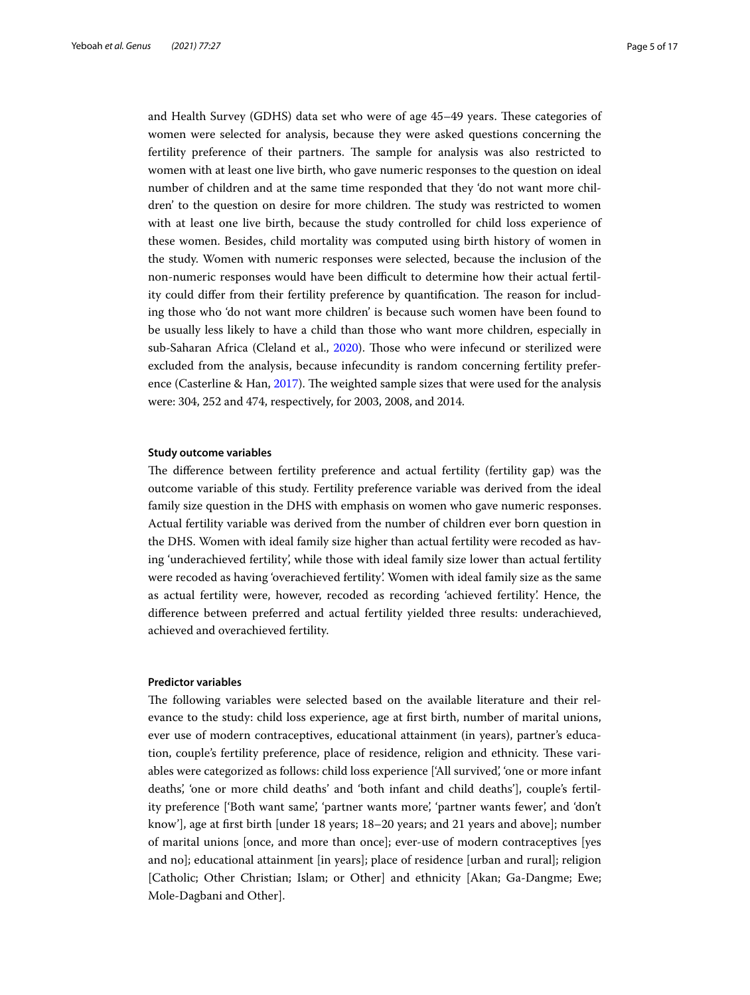and Health Survey (GDHS) data set who were of age 45-49 years. These categories of women were selected for analysis, because they were asked questions concerning the fertility preference of their partners. The sample for analysis was also restricted to women with at least one live birth, who gave numeric responses to the question on ideal number of children and at the same time responded that they 'do not want more children' to the question on desire for more children. The study was restricted to women with at least one live birth, because the study controlled for child loss experience of these women. Besides, child mortality was computed using birth history of women in the study. Women with numeric responses were selected, because the inclusion of the non-numeric responses would have been difcult to determine how their actual fertility could differ from their fertility preference by quantification. The reason for including those who 'do not want more children' is because such women have been found to be usually less likely to have a child than those who want more children, especially in sub-Saharan Africa (Cleland et al., [2020\)](#page-15-2). Tose who were infecund or sterilized were excluded from the analysis, because infecundity is random concerning fertility preference (Casterline & Han,  $2017$ ). The weighted sample sizes that were used for the analysis were: 304, 252 and 474, respectively, for 2003, 2008, and 2014.

#### **Study outcome variables**

The difference between fertility preference and actual fertility (fertility gap) was the outcome variable of this study. Fertility preference variable was derived from the ideal family size question in the DHS with emphasis on women who gave numeric responses. Actual fertility variable was derived from the number of children ever born question in the DHS. Women with ideal family size higher than actual fertility were recoded as having 'underachieved fertility', while those with ideal family size lower than actual fertility were recoded as having 'overachieved fertility'. Women with ideal family size as the same as actual fertility were, however, recoded as recording 'achieved fertility'. Hence, the diference between preferred and actual fertility yielded three results: underachieved, achieved and overachieved fertility.

### **Predictor variables**

The following variables were selected based on the available literature and their relevance to the study: child loss experience, age at frst birth, number of marital unions, ever use of modern contraceptives, educational attainment (in years), partner's education, couple's fertility preference, place of residence, religion and ethnicity. These variables were categorized as follows: child loss experience ['All survived', 'one or more infant deaths', 'one or more child deaths' and 'both infant and child deaths'], couple's fertility preference ['Both want same', 'partner wants more', 'partner wants fewer', and 'don't know'], age at frst birth [under 18 years; 18–20 years; and 21 years and above]; number of marital unions [once, and more than once]; ever-use of modern contraceptives [yes and no]; educational attainment [in years]; place of residence [urban and rural]; religion [Catholic; Other Christian; Islam; or Other] and ethnicity [Akan; Ga-Dangme; Ewe; Mole-Dagbani and Other].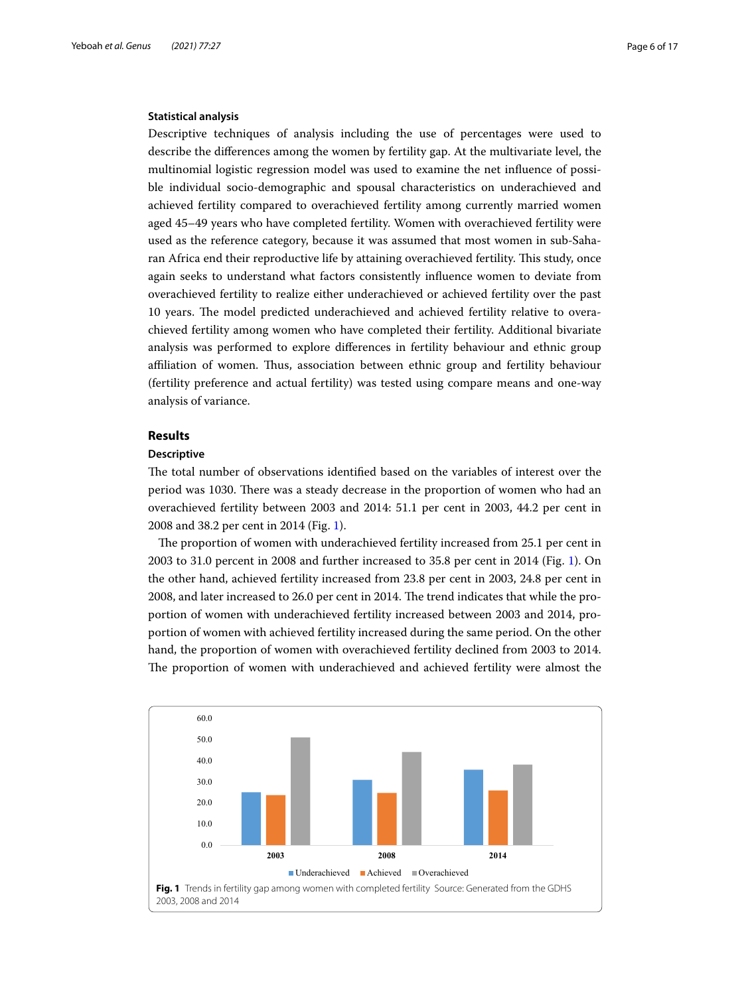## **Statistical analysis**

Descriptive techniques of analysis including the use of percentages were used to describe the diferences among the women by fertility gap. At the multivariate level, the multinomial logistic regression model was used to examine the net infuence of possible individual socio-demographic and spousal characteristics on underachieved and achieved fertility compared to overachieved fertility among currently married women aged 45–49 years who have completed fertility. Women with overachieved fertility were used as the reference category, because it was assumed that most women in sub-Saharan Africa end their reproductive life by attaining overachieved fertility. This study, once again seeks to understand what factors consistently infuence women to deviate from overachieved fertility to realize either underachieved or achieved fertility over the past 10 years. The model predicted underachieved and achieved fertility relative to overachieved fertility among women who have completed their fertility. Additional bivariate analysis was performed to explore diferences in fertility behaviour and ethnic group afliation of women. Tus, association between ethnic group and fertility behaviour (fertility preference and actual fertility) was tested using compare means and one-way analysis of variance.

## **Results**

## **Descriptive**

The total number of observations identified based on the variables of interest over the period was 1030. There was a steady decrease in the proportion of women who had an overachieved fertility between 2003 and 2014: 51.1 per cent in 2003, 44.2 per cent in 2008 and 38.2 per cent in 2014 (Fig. [1\)](#page-5-0).

The proportion of women with underachieved fertility increased from 25.1 per cent in 2003 to 31.0 percent in 2008 and further increased to 35.8 per cent in 2014 (Fig. [1](#page-5-0)). On the other hand, achieved fertility increased from 23.8 per cent in 2003, 24.8 per cent in 2008, and later increased to 26.0 per cent in 2014. The trend indicates that while the proportion of women with underachieved fertility increased between 2003 and 2014, proportion of women with achieved fertility increased during the same period. On the other hand, the proportion of women with overachieved fertility declined from 2003 to 2014. The proportion of women with underachieved and achieved fertility were almost the

<span id="page-5-0"></span>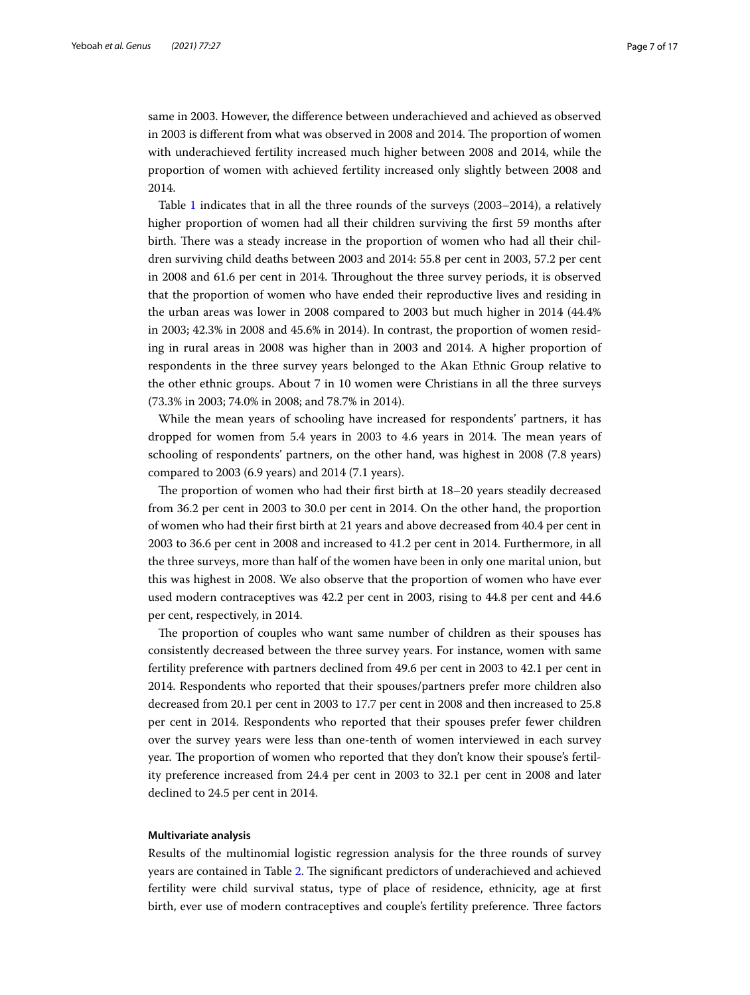same in 2003. However, the diference between underachieved and achieved as observed in 2003 is different from what was observed in 2008 and 2014. The proportion of women with underachieved fertility increased much higher between 2008 and 2014, while the proportion of women with achieved fertility increased only slightly between 2008 and 2014.

Table [1](#page-7-0) indicates that in all the three rounds of the surveys (2003–2014), a relatively higher proportion of women had all their children surviving the frst 59 months after birth. There was a steady increase in the proportion of women who had all their children surviving child deaths between 2003 and 2014: 55.8 per cent in 2003, 57.2 per cent in 2008 and 61.6 per cent in 2014. Throughout the three survey periods, it is observed that the proportion of women who have ended their reproductive lives and residing in the urban areas was lower in 2008 compared to 2003 but much higher in 2014 (44.4% in 2003; 42.3% in 2008 and 45.6% in 2014). In contrast, the proportion of women residing in rural areas in 2008 was higher than in 2003 and 2014. A higher proportion of respondents in the three survey years belonged to the Akan Ethnic Group relative to the other ethnic groups. About 7 in 10 women were Christians in all the three surveys (73.3% in 2003; 74.0% in 2008; and 78.7% in 2014).

While the mean years of schooling have increased for respondents' partners, it has dropped for women from 5.4 years in 2003 to 4.6 years in 2014. The mean years of schooling of respondents' partners, on the other hand, was highest in 2008 (7.8 years) compared to 2003 (6.9 years) and 2014 (7.1 years).

The proportion of women who had their first birth at  $18-20$  years steadily decreased from 36.2 per cent in 2003 to 30.0 per cent in 2014. On the other hand, the proportion of women who had their frst birth at 21 years and above decreased from 40.4 per cent in 2003 to 36.6 per cent in 2008 and increased to 41.2 per cent in 2014. Furthermore, in all the three surveys, more than half of the women have been in only one marital union, but this was highest in 2008. We also observe that the proportion of women who have ever used modern contraceptives was 42.2 per cent in 2003, rising to 44.8 per cent and 44.6 per cent, respectively, in 2014.

The proportion of couples who want same number of children as their spouses has consistently decreased between the three survey years. For instance, women with same fertility preference with partners declined from 49.6 per cent in 2003 to 42.1 per cent in 2014. Respondents who reported that their spouses/partners prefer more children also decreased from 20.1 per cent in 2003 to 17.7 per cent in 2008 and then increased to 25.8 per cent in 2014. Respondents who reported that their spouses prefer fewer children over the survey years were less than one-tenth of women interviewed in each survey year. The proportion of women who reported that they don't know their spouse's fertility preference increased from 24.4 per cent in 2003 to 32.1 per cent in 2008 and later declined to 24.5 per cent in 2014.

## **Multivariate analysis**

Results of the multinomial logistic regression analysis for the three rounds of survey years are contained in Table [2](#page-8-0). The significant predictors of underachieved and achieved fertility were child survival status, type of place of residence, ethnicity, age at frst birth, ever use of modern contraceptives and couple's fertility preference. Three factors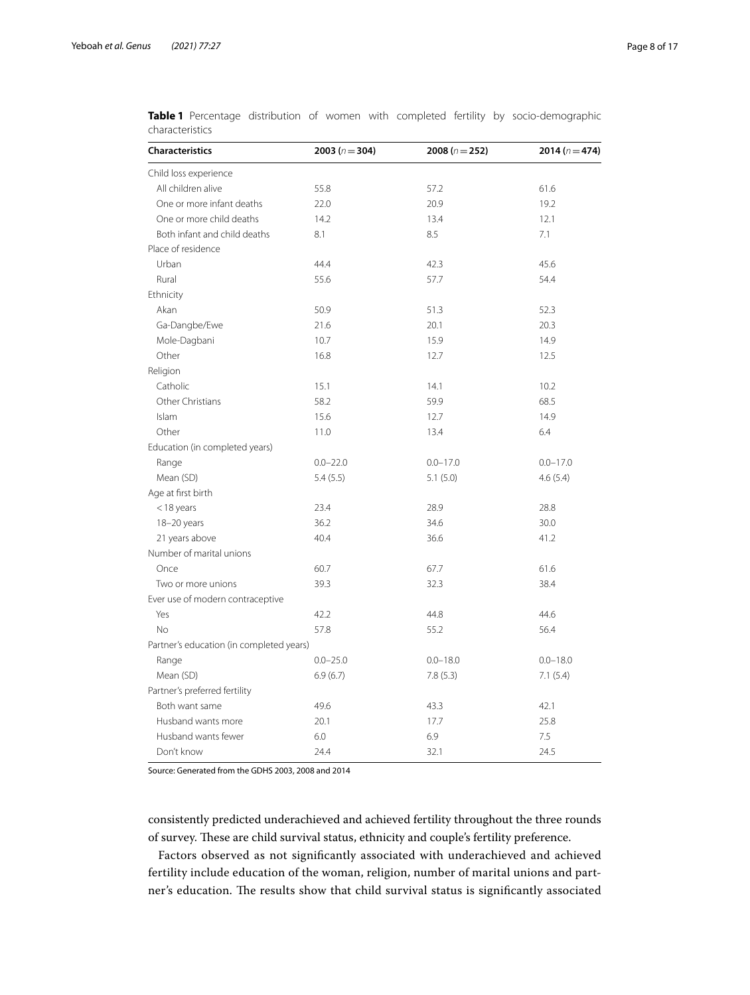| <b>Characteristics</b>                   | 2003 ( $n = 304$ ) | 2008 ( $n = 252$ ) | 2014 ( $n = 474$ ) |
|------------------------------------------|--------------------|--------------------|--------------------|
| Child loss experience                    |                    |                    |                    |
| All children alive                       | 55.8               | 57.2               | 61.6               |
| One or more infant deaths                | 22.0               | 20.9               | 19.2               |
| One or more child deaths                 | 14.2               | 13.4               | 12.1               |
| Both infant and child deaths             | 8.1                | 8.5                | 7.1                |
| Place of residence                       |                    |                    |                    |
| Urban                                    | 44.4               | 42.3               | 45.6               |
| Rural                                    | 55.6               | 57.7               | 54.4               |
| Ethnicity                                |                    |                    |                    |
| Akan                                     | 50.9               | 51.3               | 52.3               |
| Ga-Dangbe/Ewe                            | 21.6               | 20.1               | 20.3               |
| Mole-Dagbani                             | 10.7               | 15.9               | 14.9               |
| Other                                    | 16.8               | 12.7               | 12.5               |
| Religion                                 |                    |                    |                    |
| Catholic                                 | 15.1               | 14.1               | 10.2               |
| Other Christians                         | 58.2               | 59.9               | 68.5               |
| Islam                                    | 15.6               | 12.7               | 14.9               |
| Other                                    | 11.0               | 13.4               | 6.4                |
| Education (in completed years)           |                    |                    |                    |
| Range                                    | $0.0 - 22.0$       | $0.0 - 17.0$       | $0.0 - 17.0$       |
| Mean (SD)                                | 5.4(5.5)           | 5.1(5.0)           | 4.6(5.4)           |
| Age at first birth                       |                    |                    |                    |
| $<$ 18 years                             | 23.4               | 28.9               | 28.8               |
| 18-20 years                              | 36.2               | 34.6               | 30.0               |
| 21 years above                           | 40.4               | 36.6               | 41.2               |
| Number of marital unions                 |                    |                    |                    |
| Once                                     | 60.7               | 67.7               | 61.6               |
| Two or more unions                       | 39.3               | 32.3               | 38.4               |
| Ever use of modern contraceptive         |                    |                    |                    |
| Yes                                      | 42.2               | 44.8               | 44.6               |
| <b>No</b>                                | 57.8               | 55.2               | 56.4               |
| Partner's education (in completed years) |                    |                    |                    |
| Range                                    | $0.0 - 25.0$       | $0.0 - 18.0$       | $0.0 - 18.0$       |
| Mean (SD)                                | 6.9(6.7)           | 7.8(5.3)           | 7.1(5.4)           |
| Partner's preferred fertility            |                    |                    |                    |
| Both want same                           | 49.6               | 43.3               | 42.1               |
| Husband wants more                       | 20.1               | 17.7               | 25.8               |
| Husband wants fewer                      | 6.0                | 6.9                | 7.5                |
| Don't know                               | 24.4               | 32.1               | 24.5               |

<span id="page-7-0"></span>

|                 |  |  |  |  | Table 1 Percentage distribution of women with completed fertility by socio-demographic |
|-----------------|--|--|--|--|----------------------------------------------------------------------------------------|
| characteristics |  |  |  |  |                                                                                        |

Source: Generated from the GDHS 2003, 2008 and 2014

consistently predicted underachieved and achieved fertility throughout the three rounds of survey. These are child survival status, ethnicity and couple's fertility preference.

Factors observed as not signifcantly associated with underachieved and achieved fertility include education of the woman, religion, number of marital unions and partner's education. The results show that child survival status is significantly associated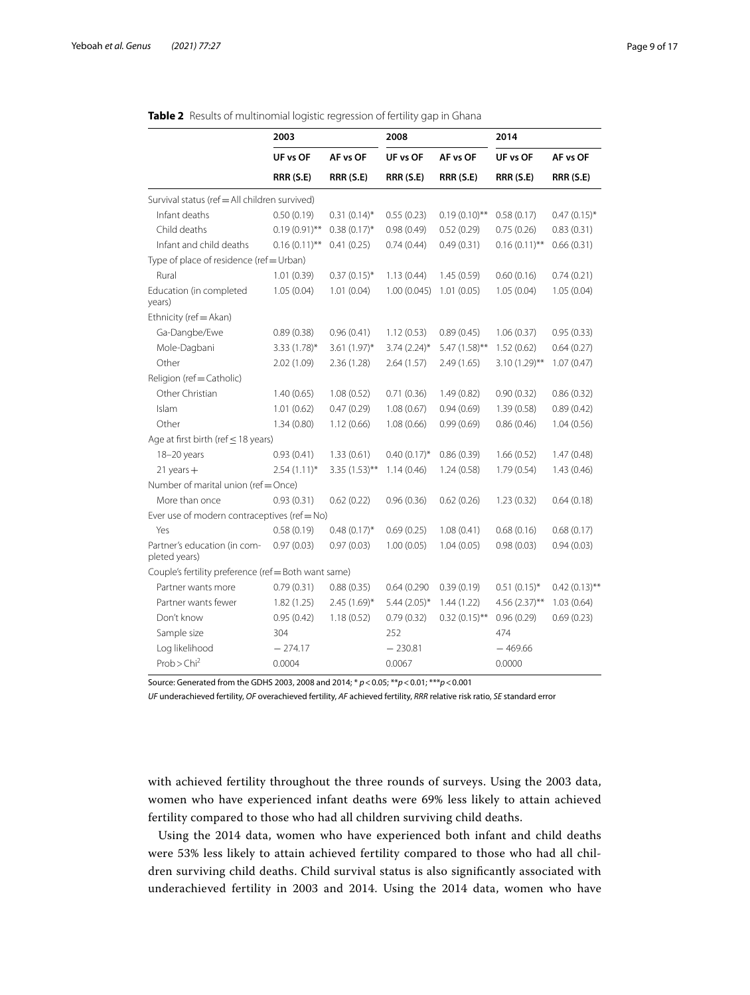|                                                      | 2003                                     |                  | 2008           |                  | 2014             |                  |  |  |  |  |
|------------------------------------------------------|------------------------------------------|------------------|----------------|------------------|------------------|------------------|--|--|--|--|
|                                                      | UF vs OF                                 | AF vs OF         | UF vs OF       | AF vs OF         | UF vs OF         | AF vs OF         |  |  |  |  |
|                                                      | <b>RRR (S.E)</b>                         | <b>RRR (S.E)</b> | RRR (S.E)      | <b>RRR (S.E)</b> | <b>RRR (S.E)</b> | <b>RRR (S.E)</b> |  |  |  |  |
| Survival status (ref = All children survived)        |                                          |                  |                |                  |                  |                  |  |  |  |  |
| Infant deaths                                        | 0.50(0.19)                               | $0.31(0.14)$ *   | 0.55(0.23)     | $0.19(0.10)$ **  | 0.58(0.17)       | $0.47(0.15)$ *   |  |  |  |  |
| Child deaths                                         | $0.19(0.91)$ **                          | $0.38(0.17)^{*}$ | 0.98(0.49)     | 0.52(0.29)       | 0.75(0.26)       | 0.83(0.31)       |  |  |  |  |
| Infant and child deaths                              | $0.16(0.11)$ **                          | 0.41(0.25)       | 0.74(0.44)     | 0.49(0.31)       | $0.16(0.11)$ **  | 0.66(0.31)       |  |  |  |  |
|                                                      | Type of place of residence (ref = Urban) |                  |                |                  |                  |                  |  |  |  |  |
| Rural                                                | 1.01(0.39)                               | $0.37(0.15)^*$   | 1.13(0.44)     | 1.45(0.59)       | 0.60(0.16)       | 0.74(0.21)       |  |  |  |  |
| Education (in completed<br>years)                    | 1.05(0.04)                               | 1.01(0.04)       | 1.00(0.045)    | 1.01(0.05)       | 1.05(0.04)       | 1.05(0.04)       |  |  |  |  |
| Ethnicity (ref = Akan)                               |                                          |                  |                |                  |                  |                  |  |  |  |  |
| Ga-Dangbe/Ewe                                        | 0.89(0.38)                               | 0.96(0.41)       | 1.12(0.53)     | 0.89(0.45)       | 1.06(0.37)       | 0.95(0.33)       |  |  |  |  |
| Mole-Dagbani                                         | $3.33(1.78)$ *                           | 3.61 $(1.97)^*$  | $3.74(2.24)$ * | 5.47 (1.58)**    | 1.52(0.62)       | 0.64(0.27)       |  |  |  |  |
| Other                                                | 2.02(1.09)                               | 2.36 (1.28)      | 2.64(1.57)     | 2.49(1.65)       | $3.10(1.29)$ **  | 1.07(0.47)       |  |  |  |  |
| Religion (ref=Catholic)                              |                                          |                  |                |                  |                  |                  |  |  |  |  |
| Other Christian                                      | 1.40(0.65)                               | 1.08(0.52)       | 0.71(0.36)     | 1.49(0.82)       | 0.90(0.32)       | 0.86(0.32)       |  |  |  |  |
| Islam                                                | 1.01(0.62)                               | 0.47(0.29)       | 1.08(0.67)     | 0.94(0.69)       | 1.39(0.58)       | 0.89(0.42)       |  |  |  |  |
| Other                                                | 1.34(0.80)                               | 1.12(0.66)       | 1.08(0.66)     | 0.99(0.69)       | 0.86(0.46)       | 1.04(0.56)       |  |  |  |  |
| Age at first birth (ref $\leq$ 18 years)             |                                          |                  |                |                  |                  |                  |  |  |  |  |
| 18-20 years                                          | 0.93(0.41)                               | 1.33(0.61)       | $0.40(0.17)$ * | 0.86(0.39)       | 1.66(0.52)       | 1.47(0.48)       |  |  |  |  |
| $21$ years $+$                                       | $2.54(1.11)^*$                           | $3.35(1.53)$ **  | 1.14(0.46)     | 1.24(0.58)       | 1.79(0.54)       | 1.43(0.46)       |  |  |  |  |
|                                                      | Number of marital union (ref = Once)     |                  |                |                  |                  |                  |  |  |  |  |
| More than once                                       | 0.93(0.31)                               | 0.62(0.22)       | 0.96(0.36)     | 0.62(0.26)       | 1.23(0.32)       | 0.64(0.18)       |  |  |  |  |
| Ever use of modern contraceptives (ref = No)         |                                          |                  |                |                  |                  |                  |  |  |  |  |
| Yes                                                  | 0.58(0.19)                               | $0.48(0.17)^*$   | 0.69(0.25)     | 1.08(0.41)       | 0.68(0.16)       | 0.68(0.17)       |  |  |  |  |
| Partner's education (in com-<br>pleted years)        | 0.97(0.03)                               | 0.97(0.03)       | 1.00(0.05)     | 1.04(0.05)       | 0.98(0.03)       | 0.94(0.03)       |  |  |  |  |
| Couple's fertility preference (ref = Both want same) |                                          |                  |                |                  |                  |                  |  |  |  |  |
| Partner wants more                                   | 0.79(0.31)                               | 0.88(0.35)       | 0.64(0.290)    | 0.39(0.19)       | $0.51(0.15)^*$   | $0.42(0.13)$ **  |  |  |  |  |
| Partner wants fewer                                  | 1.82(1.25)                               | 2.45 (1.69)*     | $5.44(2.05)$ * | 1.44(1.22)       | $4.56(2.37)$ **  | 1.03(0.64)       |  |  |  |  |
| Don't know                                           | 0.95(0.42)                               | 1.18(0.52)       | 0.79(0.32)     | $0.32(0.15)$ **  | 0.96(0.29)       | 0.69(0.23)       |  |  |  |  |
| Sample size                                          | 304                                      |                  | 252            |                  | 474              |                  |  |  |  |  |
| Log likelihood                                       | $-274.17$                                |                  | $-230.81$      |                  | $-469.66$        |                  |  |  |  |  |
| Prob > Chi <sup>2</sup>                              | 0.0004                                   |                  | 0.0067         |                  | 0.0000           |                  |  |  |  |  |

<span id="page-8-0"></span>

Source: Generated from the GDHS 2003, 2008 and 2014; \* *p*<0.05; \*\**p*<0.01; \*\*\**p*<0.001

*UF* underachieved fertility, *OF* overachieved fertility, *AF* achieved fertility, *RRR* relative risk ratio, *SE* standard error

with achieved fertility throughout the three rounds of surveys. Using the 2003 data, women who have experienced infant deaths were 69% less likely to attain achieved fertility compared to those who had all children surviving child deaths.

Using the 2014 data, women who have experienced both infant and child deaths were 53% less likely to attain achieved fertility compared to those who had all children surviving child deaths. Child survival status is also signifcantly associated with underachieved fertility in 2003 and 2014. Using the 2014 data, women who have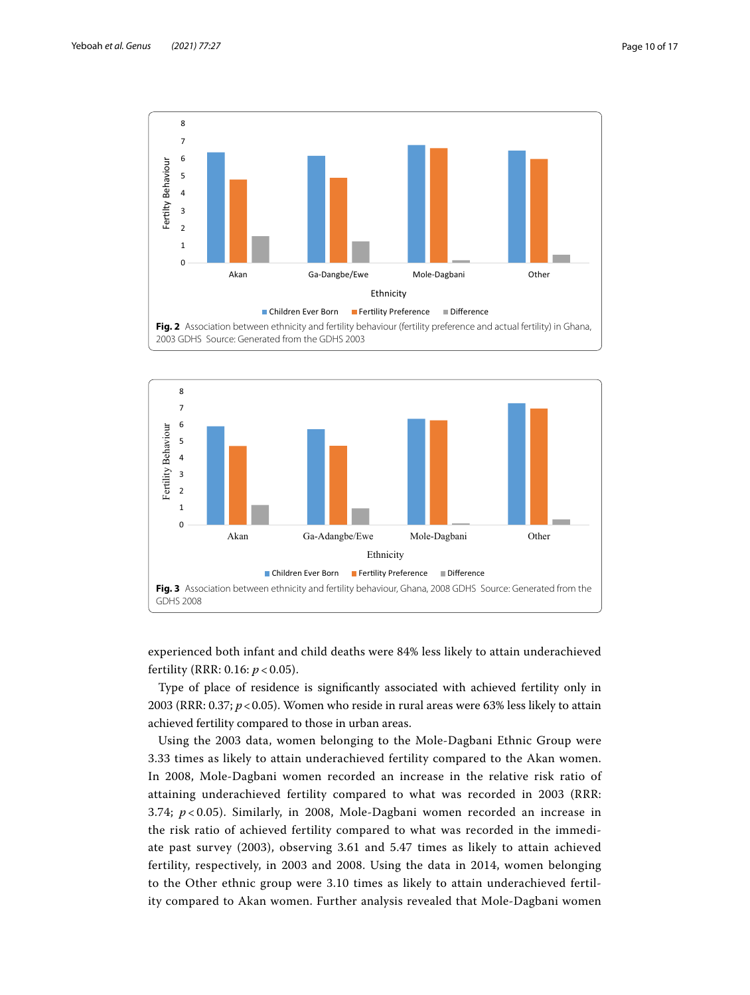

<span id="page-9-0"></span>

<span id="page-9-1"></span>experienced both infant and child deaths were 84% less likely to attain underachieved fertility (RRR: 0.16: *p* < 0.05).

Type of place of residence is signifcantly associated with achieved fertility only in 2003 (RRR: 0.37; *p*<0.05). Women who reside in rural areas were 63% less likely to attain achieved fertility compared to those in urban areas.

Using the 2003 data, women belonging to the Mole-Dagbani Ethnic Group were 3.33 times as likely to attain underachieved fertility compared to the Akan women. In 2008, Mole-Dagbani women recorded an increase in the relative risk ratio of attaining underachieved fertility compared to what was recorded in 2003 (RRR: 3.74;  $p < 0.05$ ). Similarly, in 2008, Mole-Dagbani women recorded an increase in the risk ratio of achieved fertility compared to what was recorded in the immediate past survey (2003), observing 3.61 and 5.47 times as likely to attain achieved fertility, respectively, in 2003 and 2008. Using the data in 2014, women belonging to the Other ethnic group were 3.10 times as likely to attain underachieved fertility compared to Akan women. Further analysis revealed that Mole-Dagbani women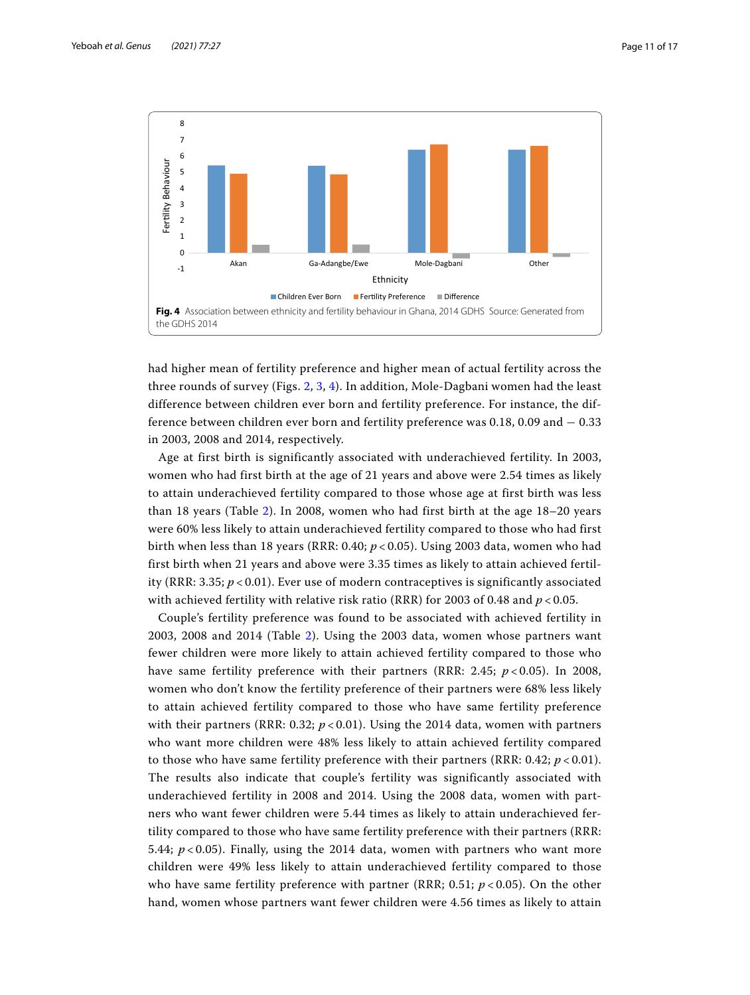

<span id="page-10-0"></span>had higher mean of fertility preference and higher mean of actual fertility across the three rounds of survey (Figs. [2,](#page-9-0) [3](#page-9-1), [4](#page-10-0)). In addition, Mole-Dagbani women had the least difference between children ever born and fertility preference. For instance, the difference between children ever born and fertility preference was 0.18, 0.09 and − 0.33 in 2003, 2008 and 2014, respectively.

Age at first birth is significantly associated with underachieved fertility. In 2003, women who had first birth at the age of 21 years and above were 2.54 times as likely to attain underachieved fertility compared to those whose age at first birth was less than 18 years (Table [2\)](#page-8-0). In 2008, women who had first birth at the age 18–20 years were 60% less likely to attain underachieved fertility compared to those who had first birth when less than 18 years (RRR: 0.40; *p* < 0.05). Using 2003 data, women who had first birth when 21 years and above were 3.35 times as likely to attain achieved fertility (RRR: 3.35; *p* < 0.01). Ever use of modern contraceptives is significantly associated with achieved fertility with relative risk ratio (RRR) for 2003 of 0.48 and *p* < 0.05.

Couple's fertility preference was found to be associated with achieved fertility in 2003, 2008 and 2014 (Table [2\)](#page-8-0). Using the 2003 data, women whose partners want fewer children were more likely to attain achieved fertility compared to those who have same fertility preference with their partners (RRR: 2.45; *p* < 0.05). In 2008, women who don't know the fertility preference of their partners were 68% less likely to attain achieved fertility compared to those who have same fertility preference with their partners (RRR: 0.32;  $p < 0.01$ ). Using the 2014 data, women with partners who want more children were 48% less likely to attain achieved fertility compared to those who have same fertility preference with their partners (RRR:  $0.42$ ;  $p < 0.01$ ). The results also indicate that couple's fertility was significantly associated with underachieved fertility in 2008 and 2014. Using the 2008 data, women with partners who want fewer children were 5.44 times as likely to attain underachieved fertility compared to those who have same fertility preference with their partners (RRR: 5.44;  $p < 0.05$ ). Finally, using the 2014 data, women with partners who want more children were 49% less likely to attain underachieved fertility compared to those who have same fertility preference with partner (RRR;  $0.51$ ;  $p < 0.05$ ). On the other hand, women whose partners want fewer children were 4.56 times as likely to attain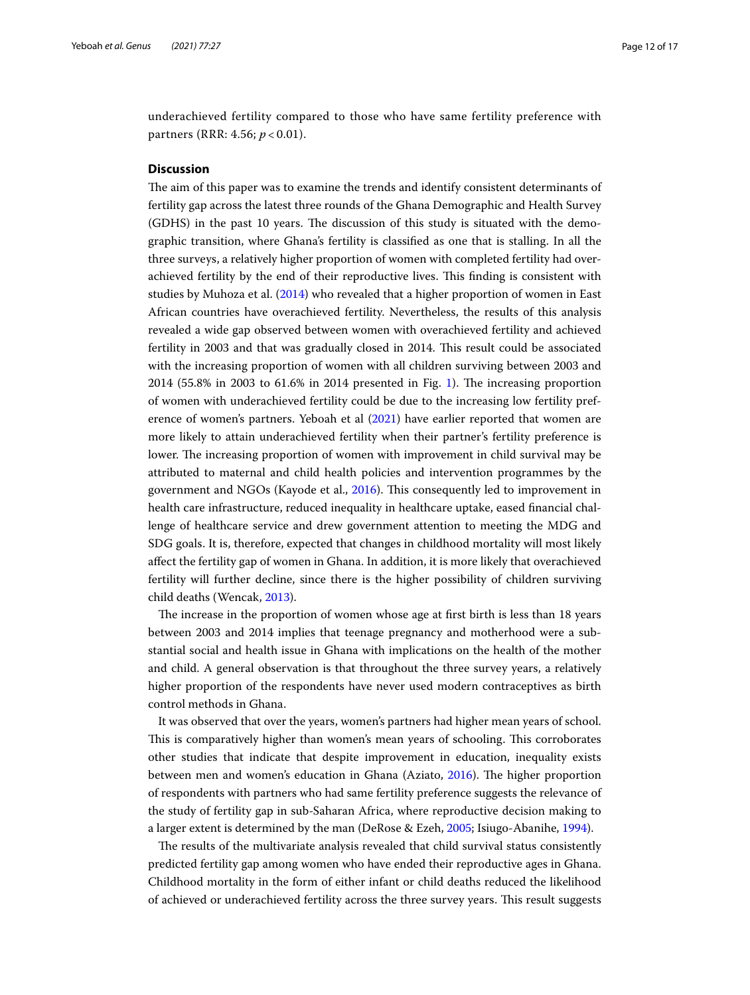underachieved fertility compared to those who have same fertility preference with partners (RRR: 4.56; *p* < 0.01).

## **Discussion**

The aim of this paper was to examine the trends and identify consistent determinants of fertility gap across the latest three rounds of the Ghana Demographic and Health Survey (GDHS) in the past 10 years. The discussion of this study is situated with the demographic transition, where Ghana's fertility is classifed as one that is stalling. In all the three surveys, a relatively higher proportion of women with completed fertility had overachieved fertility by the end of their reproductive lives. Tis fnding is consistent with studies by Muhoza et al. [\(2014\)](#page-15-10) who revealed that a higher proportion of women in East African countries have overachieved fertility. Nevertheless, the results of this analysis revealed a wide gap observed between women with overachieved fertility and achieved fertility in 2003 and that was gradually closed in 2014. Tis result could be associated with the increasing proportion of women with all children surviving between 2003 and  $2014$  $2014$  $2014$  (55.8% in 2003 to 61.6% in 2014 presented in Fig. 1). The increasing proportion of women with underachieved fertility could be due to the increasing low fertility preference of women's partners. Yeboah et al [\(2021](#page-16-9)) have earlier reported that women are more likely to attain underachieved fertility when their partner's fertility preference is lower. The increasing proportion of women with improvement in child survival may be attributed to maternal and child health policies and intervention programmes by the government and NGOs (Kayode et al., [2016](#page-15-23)). Tis consequently led to improvement in health care infrastructure, reduced inequality in healthcare uptake, eased fnancial challenge of healthcare service and drew government attention to meeting the MDG and SDG goals. It is, therefore, expected that changes in childhood mortality will most likely afect the fertility gap of women in Ghana. In addition, it is more likely that overachieved fertility will further decline, since there is the higher possibility of children surviving child deaths (Wencak, [2013](#page-16-10)).

The increase in the proportion of women whose age at first birth is less than 18 years between 2003 and 2014 implies that teenage pregnancy and motherhood were a substantial social and health issue in Ghana with implications on the health of the mother and child. A general observation is that throughout the three survey years, a relatively higher proportion of the respondents have never used modern contraceptives as birth control methods in Ghana.

It was observed that over the years, women's partners had higher mean years of school. This is comparatively higher than women's mean years of schooling. This corroborates other studies that indicate that despite improvement in education, inequality exists between men and women's education in Ghana (Aziato, [2016](#page-14-7)). The higher proportion of respondents with partners who had same fertility preference suggests the relevance of the study of fertility gap in sub-Saharan Africa, where reproductive decision making to a larger extent is determined by the man (DeRose & Ezeh, [2005;](#page-15-8) Isiugo-Abanihe, [1994](#page-15-24)).

The results of the multivariate analysis revealed that child survival status consistently predicted fertility gap among women who have ended their reproductive ages in Ghana. Childhood mortality in the form of either infant or child deaths reduced the likelihood of achieved or underachieved fertility across the three survey years. Tis result suggests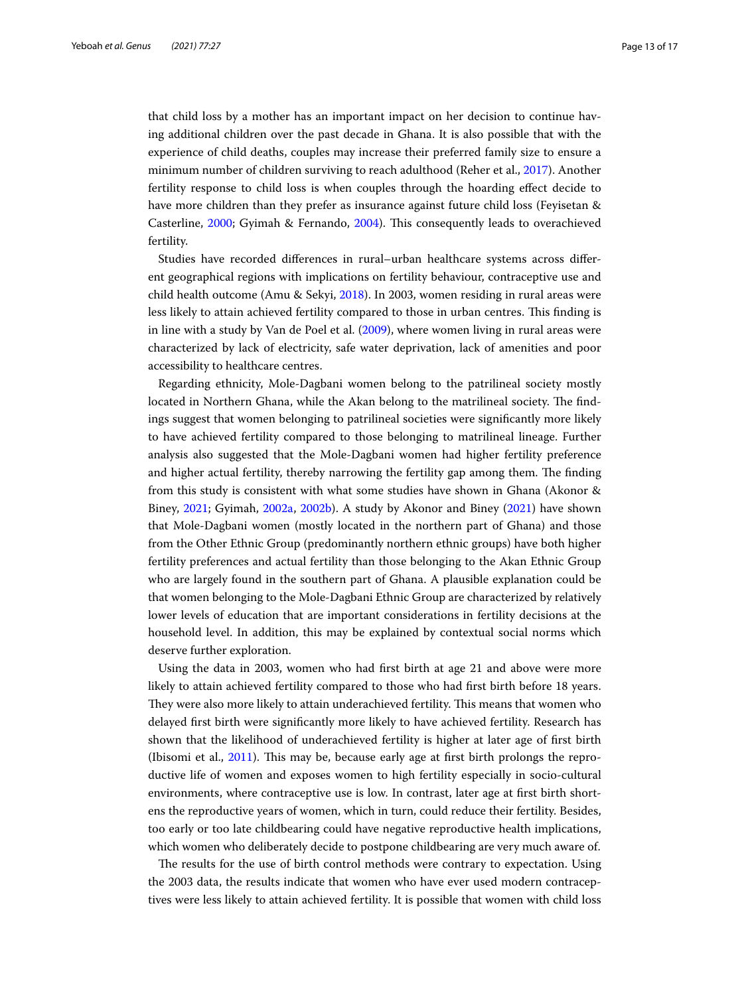that child loss by a mother has an important impact on her decision to continue having additional children over the past decade in Ghana. It is also possible that with the experience of child deaths, couples may increase their preferred family size to ensure a minimum number of children surviving to reach adulthood (Reher et al., [2017](#page-16-5)). Another fertility response to child loss is when couples through the hoarding efect decide to have more children than they prefer as insurance against future child loss (Feyisetan & Casterline, [2000;](#page-15-25) Gyimah & Fernando, [2004\)](#page-15-7). Tis consequently leads to overachieved fertility.

Studies have recorded diferences in rural–urban healthcare systems across diferent geographical regions with implications on fertility behaviour, contraceptive use and child health outcome (Amu & Sekyi, [2018](#page-14-8)). In 2003, women residing in rural areas were less likely to attain achieved fertility compared to those in urban centres. This finding is in line with a study by Van de Poel et al. ([2009](#page-16-11)), where women living in rural areas were characterized by lack of electricity, safe water deprivation, lack of amenities and poor accessibility to healthcare centres.

Regarding ethnicity, Mole-Dagbani women belong to the patrilineal society mostly located in Northern Ghana, while the Akan belong to the matrilineal society. The findings suggest that women belonging to patrilineal societies were signifcantly more likely to have achieved fertility compared to those belonging to matrilineal lineage. Further analysis also suggested that the Mole-Dagbani women had higher fertility preference and higher actual fertility, thereby narrowing the fertility gap among them. The finding from this study is consistent with what some studies have shown in Ghana (Akonor & Biney, [2021](#page-14-3); Gyimah, [2002a](#page-15-15), [2002b](#page-15-16)). A study by Akonor and Biney ([2021\)](#page-14-3) have shown that Mole-Dagbani women (mostly located in the northern part of Ghana) and those from the Other Ethnic Group (predominantly northern ethnic groups) have both higher fertility preferences and actual fertility than those belonging to the Akan Ethnic Group who are largely found in the southern part of Ghana. A plausible explanation could be that women belonging to the Mole-Dagbani Ethnic Group are characterized by relatively lower levels of education that are important considerations in fertility decisions at the household level. In addition, this may be explained by contextual social norms which deserve further exploration.

Using the data in 2003, women who had frst birth at age 21 and above were more likely to attain achieved fertility compared to those who had frst birth before 18 years. They were also more likely to attain underachieved fertility. This means that women who delayed frst birth were signifcantly more likely to have achieved fertility. Research has shown that the likelihood of underachieved fertility is higher at later age of frst birth (Ibisomi et al.,  $2011$ ). This may be, because early age at first birth prolongs the reproductive life of women and exposes women to high fertility especially in socio-cultural environments, where contraceptive use is low. In contrast, later age at frst birth shortens the reproductive years of women, which in turn, could reduce their fertility. Besides, too early or too late childbearing could have negative reproductive health implications, which women who deliberately decide to postpone childbearing are very much aware of.

The results for the use of birth control methods were contrary to expectation. Using the 2003 data, the results indicate that women who have ever used modern contraceptives were less likely to attain achieved fertility. It is possible that women with child loss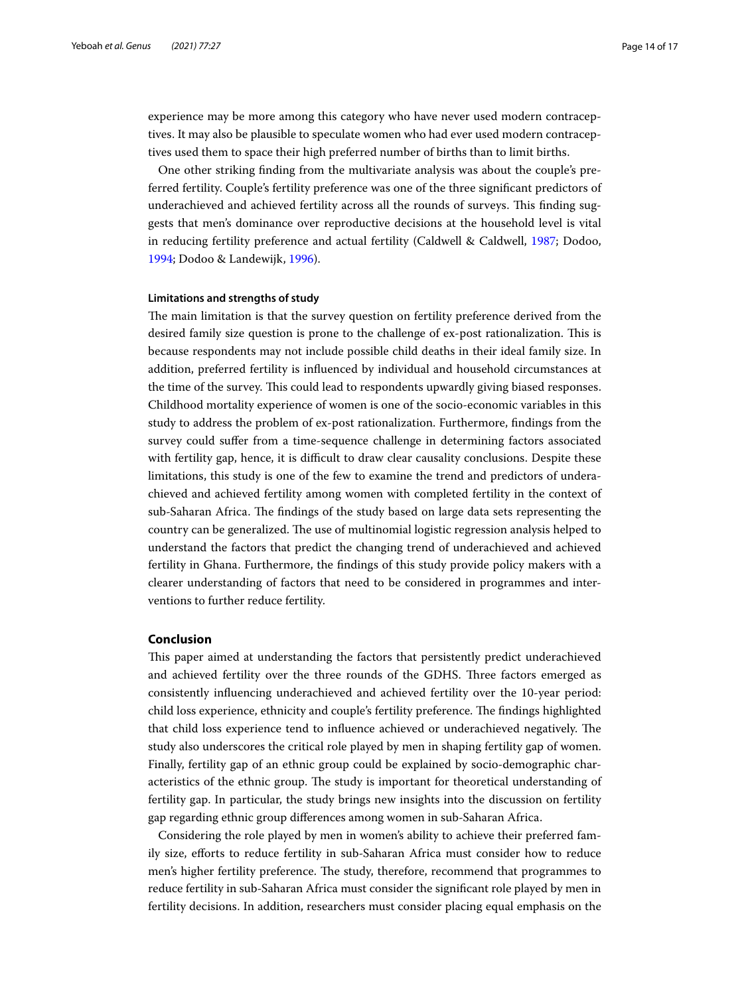experience may be more among this category who have never used modern contraceptives. It may also be plausible to speculate women who had ever used modern contraceptives used them to space their high preferred number of births than to limit births.

One other striking fnding from the multivariate analysis was about the couple's preferred fertility. Couple's fertility preference was one of the three signifcant predictors of underachieved and achieved fertility across all the rounds of surveys. This finding suggests that men's dominance over reproductive decisions at the household level is vital in reducing fertility preference and actual fertility (Caldwell & Caldwell, [1987;](#page-14-9) Dodoo, [1994](#page-15-26); Dodoo & Landewijk, [1996](#page-15-9)).

## **Limitations and strengths of study**

The main limitation is that the survey question on fertility preference derived from the desired family size question is prone to the challenge of ex-post rationalization. This is because respondents may not include possible child deaths in their ideal family size. In addition, preferred fertility is infuenced by individual and household circumstances at the time of the survey. Tis could lead to respondents upwardly giving biased responses. Childhood mortality experience of women is one of the socio-economic variables in this study to address the problem of ex-post rationalization. Furthermore, fndings from the survey could sufer from a time-sequence challenge in determining factors associated with fertility gap, hence, it is difficult to draw clear causality conclusions. Despite these limitations, this study is one of the few to examine the trend and predictors of underachieved and achieved fertility among women with completed fertility in the context of sub-Saharan Africa. The findings of the study based on large data sets representing the country can be generalized. The use of multinomial logistic regression analysis helped to understand the factors that predict the changing trend of underachieved and achieved fertility in Ghana. Furthermore, the fndings of this study provide policy makers with a clearer understanding of factors that need to be considered in programmes and interventions to further reduce fertility.

## **Conclusion**

Tis paper aimed at understanding the factors that persistently predict underachieved and achieved fertility over the three rounds of the GDHS. Three factors emerged as consistently infuencing underachieved and achieved fertility over the 10-year period: child loss experience, ethnicity and couple's fertility preference. The findings highlighted that child loss experience tend to influence achieved or underachieved negatively. The study also underscores the critical role played by men in shaping fertility gap of women. Finally, fertility gap of an ethnic group could be explained by socio-demographic characteristics of the ethnic group. The study is important for theoretical understanding of fertility gap. In particular, the study brings new insights into the discussion on fertility gap regarding ethnic group diferences among women in sub-Saharan Africa.

Considering the role played by men in women's ability to achieve their preferred family size, eforts to reduce fertility in sub-Saharan Africa must consider how to reduce men's higher fertility preference. The study, therefore, recommend that programmes to reduce fertility in sub-Saharan Africa must consider the signifcant role played by men in fertility decisions. In addition, researchers must consider placing equal emphasis on the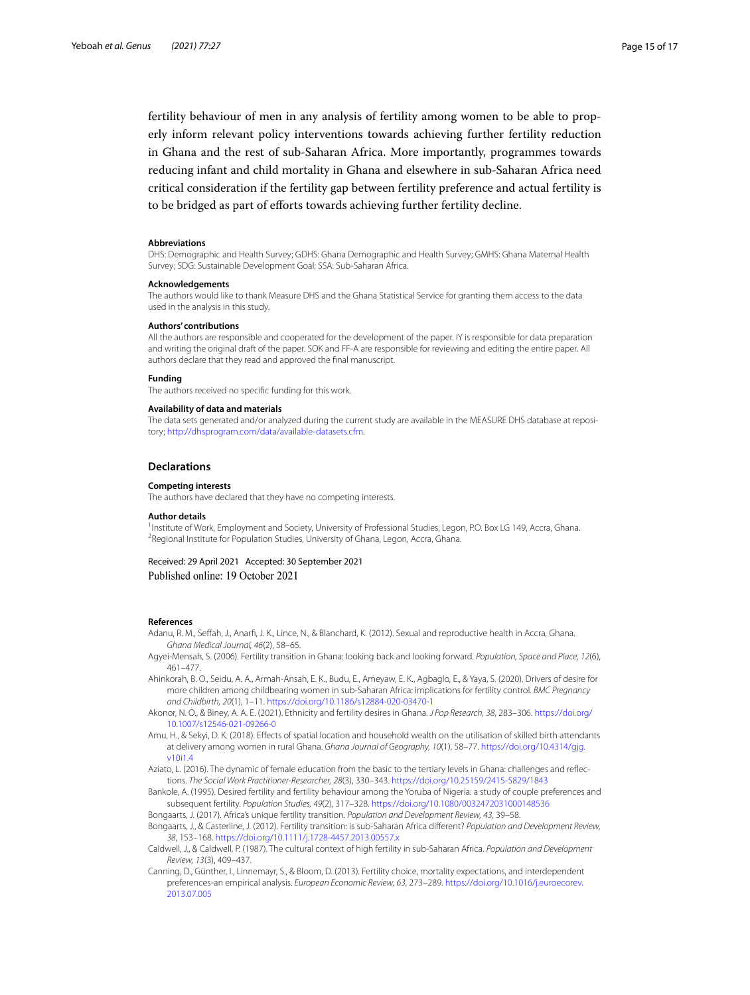fertility behaviour of men in any analysis of fertility among women to be able to properly inform relevant policy interventions towards achieving further fertility reduction in Ghana and the rest of sub-Saharan Africa. More importantly, programmes towards reducing infant and child mortality in Ghana and elsewhere in sub-Saharan Africa need critical consideration if the fertility gap between fertility preference and actual fertility is to be bridged as part of eforts towards achieving further fertility decline.

#### **Abbreviations**

DHS: Demographic and Health Survey; GDHS: Ghana Demographic and Health Survey; GMHS: Ghana Maternal Health Survey; SDG: Sustainable Development Goal; SSA: Sub-Saharan Africa.

#### **Acknowledgements**

The authors would like to thank Measure DHS and the Ghana Statistical Service for granting them access to the data used in the analysis in this study.

#### **Authors' contributions**

All the authors are responsible and cooperated for the development of the paper. IY is responsible for data preparation and writing the original draft of the paper. SOK and FF-A are responsible for reviewing and editing the entire paper. All authors declare that they read and approved the fnal manuscript.

#### **Funding**

The authors received no specifc funding for this work.

#### **Availability of data and materials**

The data sets generated and/or analyzed during the current study are available in the MEASURE DHS database at repository; <http://dhsprogram.com/data/available-datasets.cfm>.

#### **Declarations**

#### **Competing interests**

The authors have declared that they have no competing interests.

#### **Author details**

<sup>1</sup>Institute of Work, Employment and Society, University of Professional Studies, Legon, P.O. Box LG 149, Accra, Ghana.<br><sup>2</sup>Begional Institute for Population Studies, University of Ghana, Legon, Accra, Ghana. <sup>2</sup> Regional Institute for Population Studies, University of Ghana, Legon, Accra, Ghana.

Received: 29 April 2021 Accepted: 30 September 2021 Published online: 19 October 2021

#### **References**

- Adanu, R. M., Sefah, J., Anarf, J. K., Lince, N., & Blanchard, K. (2012). Sexual and reproductive health in Accra, Ghana. *Ghana Medical Journal, 46*(2), 58–65.
- <span id="page-14-6"></span>Agyei-Mensah, S. (2006). Fertility transition in Ghana: looking back and looking forward. *Population, Space and Place, 12*(6), 461–477.
- <span id="page-14-1"></span>Ahinkorah, B. O., Seidu, A. A., Armah-Ansah, E. K., Budu, E., Ameyaw, E. K., Agbaglo, E., & Yaya, S. (2020). Drivers of desire for more children among childbearing women in sub-Saharan Africa: implications for fertility control. *BMC Pregnancy and Childbirth, 20*(1), 1–11.<https://doi.org/10.1186/s12884-020-03470-1>
- <span id="page-14-3"></span>Akonor, N. O., & Biney, A. A. E. (2021). Ethnicity and fertility desires in Ghana. *J Pop Research, 38*, 283–306. [https://doi.org/](https://doi.org/10.1007/s12546-021-09266-0) [10.1007/s12546-021-09266-0](https://doi.org/10.1007/s12546-021-09266-0)
- <span id="page-14-8"></span>Amu, H., & Sekyi, D. K. (2018). Efects of spatial location and household wealth on the utilisation of skilled birth attendants at delivery among women in rural Ghana. *Ghana Journal of Geography, 10*(1), 58–77. [https://doi.org/10.4314/gjg.](https://doi.org/10.4314/gjg.v10i1.4) [v10i1.4](https://doi.org/10.4314/gjg.v10i1.4)
- <span id="page-14-7"></span>Aziato, L. (2016). The dynamic of female education from the basic to the tertiary levels in Ghana: challenges and reflections. *The Social Work Practitioner-Researcher, 28*(3), 330–343.<https://doi.org/10.25159/2415-5829/1843>
- <span id="page-14-2"></span>Bankole, A. (1995). Desired fertility and fertility behaviour among the Yoruba of Nigeria: a study of couple preferences and subsequent fertility. *Population Studies, 49*(2), 317–328.<https://doi.org/10.1080/0032472031000148536>
- <span id="page-14-5"></span>Bongaarts, J. (2017). Africa's unique fertility transition. *Population and Development Review, 43*, 39–58.
- <span id="page-14-0"></span>Bongaarts, J., & Casterline, J. (2012). Fertility transition: is sub-Saharan Africa diferent? *Population and Development Review, 38*, 153–168.<https://doi.org/10.1111/j.1728-4457.2013.00557.x>
- <span id="page-14-9"></span>Caldwell, J., & Caldwell, P. (1987). The cultural context of high fertility in sub-Saharan Africa. *Population and Development Review, 13*(3), 409–437.
- <span id="page-14-4"></span>Canning, D., Günther, I., Linnemayr, S., & Bloom, D. (2013). Fertility choice, mortality expectations, and interdependent preferences-an empirical analysis. *European Economic Review, 63*, 273–289. [https://doi.org/10.1016/j.euroecorev.](https://doi.org/10.1016/j.euroecorev.2013.07.005) [2013.07.005](https://doi.org/10.1016/j.euroecorev.2013.07.005)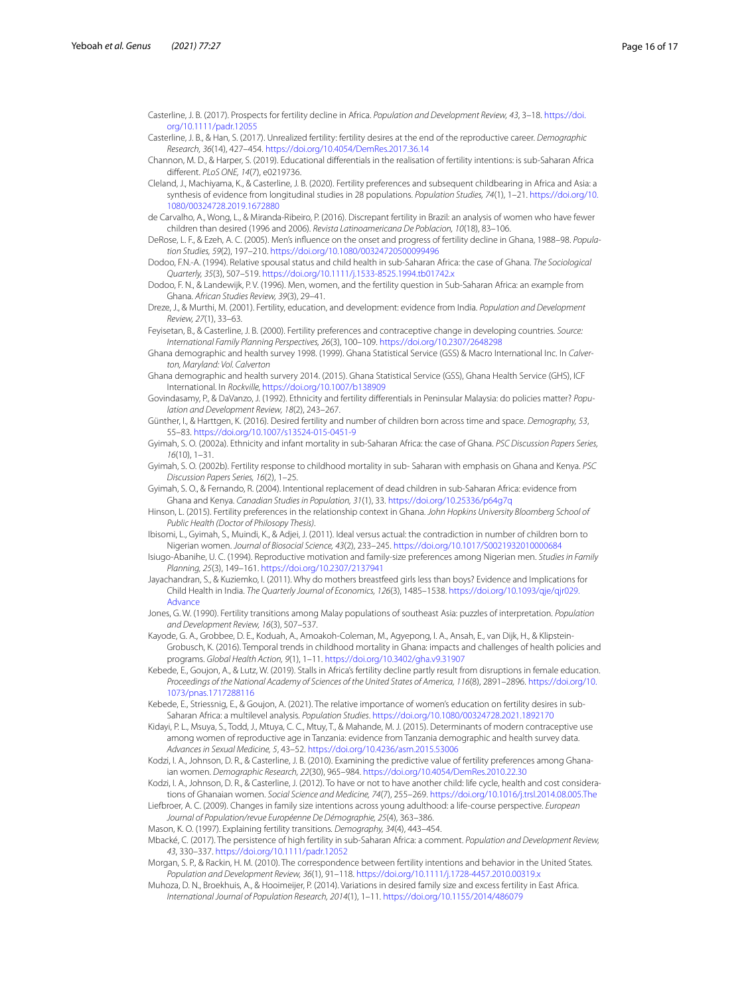<span id="page-15-1"></span>Casterline, J. B. (2017). Prospects for fertility decline in Africa. *Population and Development Review, 43*, 3–18. [https://doi.](https://doi.org/10.1111/padr.12055) [org/10.1111/padr.12055](https://doi.org/10.1111/padr.12055)

<span id="page-15-20"></span>Casterline, J. B., & Han, S. (2017). Unrealized fertility: fertility desires at the end of the reproductive career. *Demographic Research, 36*(14), 427–454. <https://doi.org/10.4054/DemRes.2017.36.14>

<span id="page-15-22"></span>Channon, M. D., & Harper, S. (2019). Educational diferentials in the realisation of fertility intentions: is sub-Saharan Africa diferent. *PLoS ONE, 14*(7), e0219736.

<span id="page-15-2"></span>Cleland, J., Machiyama, K., & Casterline, J. B. (2020). Fertility preferences and subsequent childbearing in Africa and Asia: a synthesis of evidence from longitudinal studies in 28 populations. *Population Studies, 74*(1), 1–21. [https://doi.org/10.](https://doi.org/10.1080/00324728.2019.1672880) [1080/00324728.2019.1672880](https://doi.org/10.1080/00324728.2019.1672880)

<span id="page-15-19"></span>de Carvalho, A., Wong, L., & Miranda-Ribeiro, P. (2016). Discrepant fertility in Brazil: an analysis of women who have fewer children than desired (1996 and 2006). *Revista Latinoamericana De Poblacion, 10*(18), 83–106.

<span id="page-15-8"></span>DeRose, L. F., & Ezeh, A. C. (2005). Men's infuence on the onset and progress of fertility decline in Ghana, 1988–98. *Population Studies, 59*(2), 197–210. <https://doi.org/10.1080/00324720500099496>

<span id="page-15-26"></span>Dodoo, F.N.-A. (1994). Relative spousal status and child health in sub-Saharan Africa: the case of Ghana. *The Sociological Quarterly, 35*(3), 507–519.<https://doi.org/10.1111/j.1533-8525.1994.tb01742.x>

<span id="page-15-9"></span>Dodoo, F. N., & Landewijk, P. V. (1996). Men, women, and the fertility question in Sub-Saharan Africa: an example from Ghana. *African Studies Review, 39*(3), 29–41.

<span id="page-15-13"></span>Dreze, J., & Murthi, M. (2001). Fertility, education, and development: evidence from India. *Population and Development Review, 27*(1), 33–63.

<span id="page-15-25"></span>Feyisetan, B., & Casterline, J. B. (2000). Fertility preferences and contraceptive change in developing countries. *Source: International Family Planning Perspectives, 26*(3), 100–109. <https://doi.org/10.2307/2648298>

<span id="page-15-18"></span>Ghana demographic and health survey 1998. (1999). Ghana Statistical Service (GSS) & Macro International Inc. In *Calverton, Maryland: Vol. Calverton*

<span id="page-15-17"></span>Ghana demographic and health survery 2014. (2015). Ghana Statistical Service (GSS), Ghana Health Service (GHS), ICF International. In *Rockville,* <https://doi.org/10.1007/b138909>

Govindasamy, P., & DaVanzo, J. (1992). Ethnicity and fertility diferentials in Peninsular Malaysia: do policies matter? *Population and Development Review, 18*(2), 243–267.

<span id="page-15-6"></span>Günther, I., & Harttgen, K. (2016). Desired fertility and number of children born across time and space. *Demography, 53*, 55–83. <https://doi.org/10.1007/s13524-015-0451-9>

<span id="page-15-15"></span>Gyimah, S. O. (2002a). Ethnicity and infant mortality in sub-Saharan Africa: the case of Ghana. *PSC Discussion Papers Series, 16*(10), 1–31.

<span id="page-15-16"></span>Gyimah, S. O. (2002b). Fertility response to childhood mortality in sub- Saharan with emphasis on Ghana and Kenya. *PSC Discussion Papers Series, 16*(2), 1–25.

<span id="page-15-7"></span>Gyimah, S. O., & Fernando, R. (2004). Intentional replacement of dead children in sub-Saharan Africa: evidence from Ghana and Kenya. *Canadian Studies in Population, 31*(1), 33.<https://doi.org/10.25336/p64g7q>

<span id="page-15-11"></span>Hinson, L. (2015). Fertility preferences in the relationship context in Ghana. *John Hopkins University Bloomberg School of Public Health (Doctor of Philosopy Thesis)*.

<span id="page-15-21"></span>Ibisomi, L., Gyimah, S., Muindi, K., & Adjei, J. (2011). Ideal versus actual: the contradiction in number of children born to Nigerian women. *Journal of Biosocial Science, 43*(2), 233–245. <https://doi.org/10.1017/S0021932010000684>

<span id="page-15-24"></span>Isiugo-Abanihe, U. C. (1994). Reproductive motivation and family-size preferences among Nigerian men. *Studies in Family Planning, 25*(3), 149–161.<https://doi.org/10.2307/2137941>

Jayachandran, S., & Kuziemko, I. (2011). Why do mothers breastfeed girls less than boys? Evidence and Implications for Child Health in India. *The Quarterly Journal of Economics, 126*(3), 1485–1538. [https://doi.org/10.1093/qje/qjr029.](https://doi.org/10.1093/qje/qjr029.Advance) [Advance](https://doi.org/10.1093/qje/qjr029.Advance)

Jones, G. W. (1990). Fertility transitions among Malay populations of southeast Asia: puzzles of interpretation. *Population and Development Review, 16*(3), 507–537.

<span id="page-15-23"></span>Kayode, G. A., Grobbee, D. E., Koduah, A., Amoakoh-Coleman, M., Agyepong, I. A., Ansah, E., van Dijk, H., & Klipstein-Grobusch, K. (2016). Temporal trends in childhood mortality in Ghana: impacts and challenges of health policies and programs. *Global Health Action, 9*(1), 1–11.<https://doi.org/10.3402/gha.v9.31907>

<span id="page-15-0"></span>Kebede, E., Goujon, A., & Lutz, W. (2019). Stalls in Africa's fertility decline partly result from disruptions in female education. *Proceedings of the National Academy of Sciences of the United States of America, 116*(8), 2891–2896. [https://doi.org/10.](https://doi.org/10.1073/pnas.1717288116) [1073/pnas.1717288116](https://doi.org/10.1073/pnas.1717288116)

<span id="page-15-14"></span>Kebede, E., Striessnig, E., & Goujon, A. (2021). The relative importance of women's education on fertility desires in sub-Saharan Africa: a multilevel analysis. *Population Studies*. <https://doi.org/10.1080/00324728.2021.1892170>

Kidayi, P. L., Msuya, S., Todd, J., Mtuya, C. C., Mtuy, T., & Mahande, M. J. (2015). Determinants of modern contraceptive use among women of reproductive age in Tanzania: evidence from Tanzania demographic and health survey data. *Advances in Sexual Medicine, 5*, 43–52. <https://doi.org/10.4236/asm.2015.53006>

<span id="page-15-5"></span>Kodzi, I. A., Johnson, D. R., & Casterline, J. B. (2010). Examining the predictive value of fertility preferences among Ghanaian women. *Demographic Research, 22*(30), 965–984. <https://doi.org/10.4054/DemRes.2010.22.30>

<span id="page-15-12"></span>Kodzi, I. A., Johnson, D. R., & Casterline, J. (2012). To have or not to have another child: life cycle, health and cost considerations of Ghanaian women. *Social Science and Medicine, 74*(7), 255–269. <https://doi.org/10.1016/j.trsl.2014.08.005.The>

<span id="page-15-4"></span>Liefbroer, A. C. (2009). Changes in family size intentions across young adulthood: a life-course perspective. *European Journal of Population/revue Européenne De Démographie, 25*(4), 363–386.

Mason, K. O. (1997). Explaining fertility transitions. *Demography, 34*(4), 443–454.

<span id="page-15-3"></span>Mbacké, C. (2017). The persistence of high fertility in sub-Saharan Africa: a comment. *Population and Development Review, 43*, 330–337.<https://doi.org/10.1111/padr.12052>

Morgan, S. P., & Rackin, H. M. (2010). The correspondence between fertility intentions and behavior in the United States. *Population and Development Review, 36*(1), 91–118.<https://doi.org/10.1111/j.1728-4457.2010.00319.x>

<span id="page-15-10"></span>Muhoza, D. N., Broekhuis, A., & Hooimeijer, P. (2014). Variations in desired family size and excess fertility in East Africa. *International Journal of Population Research, 2014*(1), 1–11.<https://doi.org/10.1155/2014/486079>